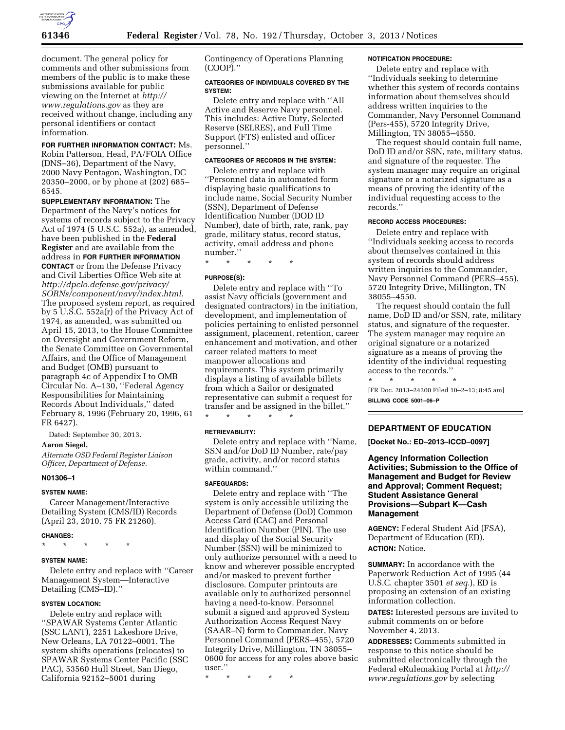

document. The general policy for comments and other submissions from members of the public is to make these submissions available for public viewing on the Internet at *[http://](http://www.regulations.gov) [www.regulations.gov](http://www.regulations.gov)* as they are received without change, including any personal identifiers or contact information.

**FOR FURTHER INFORMATION CONTACT:** Ms. Robin Patterson, Head, PA/FOIA Office (DNS–36), Department of the Navy, 2000 Navy Pentagon, Washington, DC 20350–2000, or by phone at (202) 685– 6545.

**SUPPLEMENTARY INFORMATION:** The Department of the Navy's notices for systems of records subject to the Privacy Act of 1974 (5 U.S.C. 552a), as amended, have been published in the **Federal Register** and are available from the address in **FOR FURTHER INFORMATION CONTACT** or from the Defense Privacy and Civil Liberties Office Web site at *[http://dpclo.defense.gov/privacy/](http://dpclo.defense.gov/privacy/SORNs/component/navy/index.html) [SORNs/component/navy/index.html.](http://dpclo.defense.gov/privacy/SORNs/component/navy/index.html)*  The proposed system report, as required by 5 U.S.C. 552a(r) of the Privacy Act of 1974, as amended, was submitted on April 15, 2013, to the House Committee on Oversight and Government Reform, the Senate Committee on Governmental Affairs, and the Office of Management and Budget (OMB) pursuant to paragraph 4c of Appendix I to OMB Circular No. A–130, ''Federal Agency Responsibilities for Maintaining Records About Individuals,'' dated February 8, 1996 (February 20, 1996, 61 FR 6427).

Dated: September 30, 2013.

# **Aaron Siegel,**

*Alternate OSD Federal Register Liaison Officer, Department of Defense.* 

## **N01306–1**

## **SYSTEM NAME:**

Career Management/Interactive Detailing System (CMS/ID) Records (April 23, 2010, 75 FR 21260).

## **CHANGES:**

\* \* \* \* \*

## **SYSTEM NAME:**

Delete entry and replace with ''Career Management System—Interactive Detailing (CMS–ID).''

## **SYSTEM LOCATION:**

Delete entry and replace with ''SPAWAR Systems Center Atlantic (SSC LANT), 2251 Lakeshore Drive, New Orleans, LA 70122–0001. The system shifts operations (relocates) to SPAWAR Systems Center Pacific (SSC PAC), 53560 Hull Street, San Diego, California 92152–5001 during

Contingency of Operations Planning (COOP).''

## **CATEGORIES OF INDIVIDUALS COVERED BY THE SYSTEM:**

Delete entry and replace with ''All Active and Reserve Navy personnel. This includes: Active Duty, Selected Reserve (SELRES), and Full Time Support (FTS) enlisted and officer personnel.''

# **CATEGORIES OF RECORDS IN THE SYSTEM:**

Delete entry and replace with ''Personnel data in automated form displaying basic qualifications to include name, Social Security Number (SSN), Department of Defense Identification Number (DOD ID Number), date of birth, rate, rank, pay grade, military status, record status, activity, email address and phone number.''

\* \* \* \* \*

## **PURPOSE(S):**

Delete entry and replace with ''To assist Navy officials (government and designated contractors) in the initiation, development, and implementation of policies pertaining to enlisted personnel assignment, placement, retention, career enhancement and motivation, and other career related matters to meet manpower allocations and requirements. This system primarily displays a listing of available billets from which a Sailor or designated representative can submit a request for transfer and be assigned in the billet.'' \* \* \* \* \*

## **RETRIEVABILITY:**

Delete entry and replace with ''Name, SSN and/or DoD ID Number, rate/pay grade, activity, and/or record status within command.''

## **SAFEGUARDS:**

Delete entry and replace with ''The system is only accessible utilizing the Department of Defense (DoD) Common Access Card (CAC) and Personal Identification Number (PIN). The use and display of the Social Security Number (SSN) will be minimized to only authorize personnel with a need to know and wherever possible encrypted and/or masked to prevent further disclosure. Computer printouts are available only to authorized personnel having a need-to-know. Personnel submit a signed and approved System Authorization Access Request Navy (SAAR–N) form to Commander, Navy Personnel Command (PERS–455), 5720 Integrity Drive, Millington, TN 38055– 0600 for access for any roles above basic user.''

\* \* \* \* \*

#### **NOTIFICATION PROCEDURE:**

Delete entry and replace with ''Individuals seeking to determine whether this system of records contains information about themselves should address written inquiries to the Commander, Navy Personnel Command (Pers-455), 5720 Integrity Drive, Millington, TN 38055–4550.

The request should contain full name, DoD ID and/or SSN, rate, military status, and signature of the requester. The system manager may require an original signature or a notarized signature as a means of proving the identity of the individual requesting access to the records.''

## **RECORD ACCESS PROCEDURES:**

Delete entry and replace with ''Individuals seeking access to records about themselves contained in this system of records should address written inquiries to the Commander, Navy Personnel Command (PERS–455), 5720 Integrity Drive, Millington, TN 38055–4550.

The request should contain the full name, DoD ID and/or SSN, rate, military status, and signature of the requester. The system manager may require an original signature or a notarized signature as a means of proving the identity of the individual requesting  $\frac{1}{\sqrt{2}}$  access to the records.''

\* \* \* \* \* [FR Doc. 2013–24200 Filed 10–2–13; 8:45 am] **BILLING CODE 5001–06–P** 

# **DEPARTMENT OF EDUCATION**

**[Docket No.: ED–2013–ICCD–0097]** 

**Agency Information Collection Activities; Submission to the Office of Management and Budget for Review and Approval; Comment Request; Student Assistance General Provisions—Subpart K—Cash Management** 

**AGENCY:** Federal Student Aid (FSA), Department of Education (ED). **ACTION:** Notice.

**SUMMARY:** In accordance with the Paperwork Reduction Act of 1995 (44 U.S.C. chapter 3501 *et seq.*), ED is proposing an extension of an existing information collection.

**DATES:** Interested persons are invited to submit comments on or before November 4, 2013.

**ADDRESSES:** Comments submitted in response to this notice should be submitted electronically through the Federal eRulemaking Portal at *[http://](http://www.regulations.gov) [www.regulations.gov](http://www.regulations.gov)* by selecting